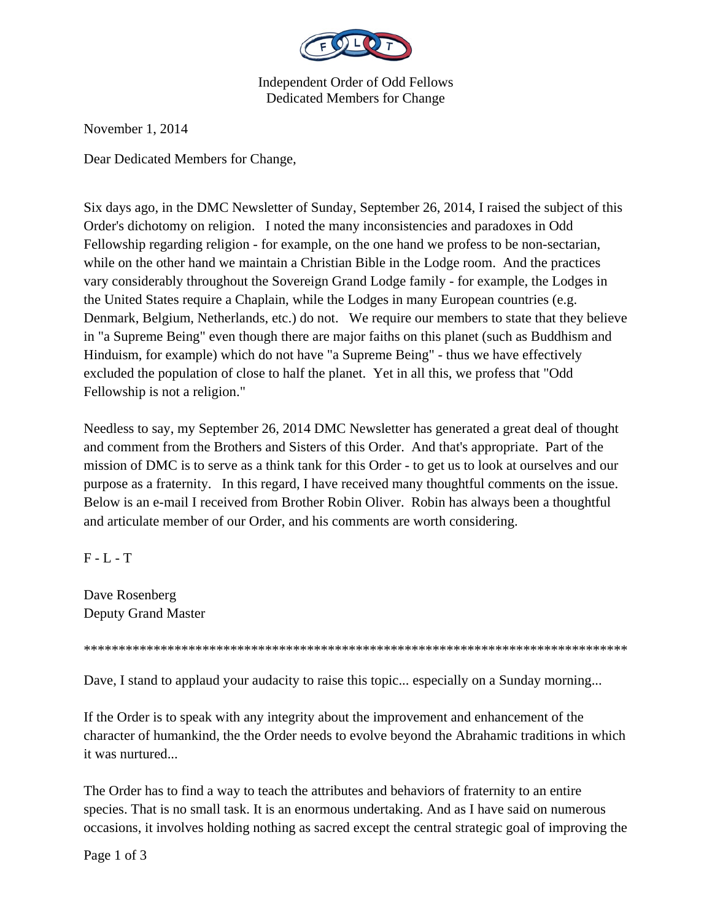

Independent Order of Odd Fellows Dedicated Members for Change

November 1, 2014

Dear Dedicated Members for Change,

Six days ago, in the DMC Newsletter of Sunday, September 26, 2014, I raised the subject of this Order's dichotomy on religion. I noted the many inconsistencies and paradoxes in Odd Fellowship regarding religion - for example, on the one hand we profess to be non-sectarian, while on the other hand we maintain a Christian Bible in the Lodge room. And the practices vary considerably throughout the Sovereign Grand Lodge family - for example, the Lodges in the United States require a Chaplain, while the Lodges in many European countries (e.g. Denmark, Belgium, Netherlands, etc.) do not. We require our members to state that they believe in "a Supreme Being" even though there are major faiths on this planet (such as Buddhism and Hinduism, for example) which do not have "a Supreme Being" - thus we have effectively excluded the population of close to half the planet. Yet in all this, we profess that "Odd Fellowship is not a religion."

Needless to say, my September 26, 2014 DMC Newsletter has generated a great deal of thought and comment from the Brothers and Sisters of this Order. And that's appropriate. Part of the mission of DMC is to serve as a think tank for this Order - to get us to look at ourselves and our purpose as a fraternity. In this regard, I have received many thoughtful comments on the issue. Below is an e-mail I received from Brother Robin Oliver. Robin has always been a thoughtful and articulate member of our Order, and his comments are worth considering.

 $F - L - T$ 

Dave Rosenberg Deputy Grand Master

\*\*\*\*\*\*\*\*\*\*\*\*\*\*\*\*\*\*\*\*\*\*\*\*\*\*\*\*\*\*\*\*\*\*\*\*\*\*\*\*\*\*\*\*\*\*\*\*\*\*\*\*\*\*\*\*\*\*\*\*\*\*\*\*\*\*\*\*\*\*\*\*\*\*\*\*\*\*

Dave, I stand to applaud your audacity to raise this topic... especially on a Sunday morning...

If the Order is to speak with any integrity about the improvement and enhancement of the character of humankind, the the Order needs to evolve beyond the Abrahamic traditions in which it was nurtured...

The Order has to find a way to teach the attributes and behaviors of fraternity to an entire species. That is no small task. It is an enormous undertaking. And as I have said on numerous occasions, it involves holding nothing as sacred except the central strategic goal of improving the

Page 1 of 3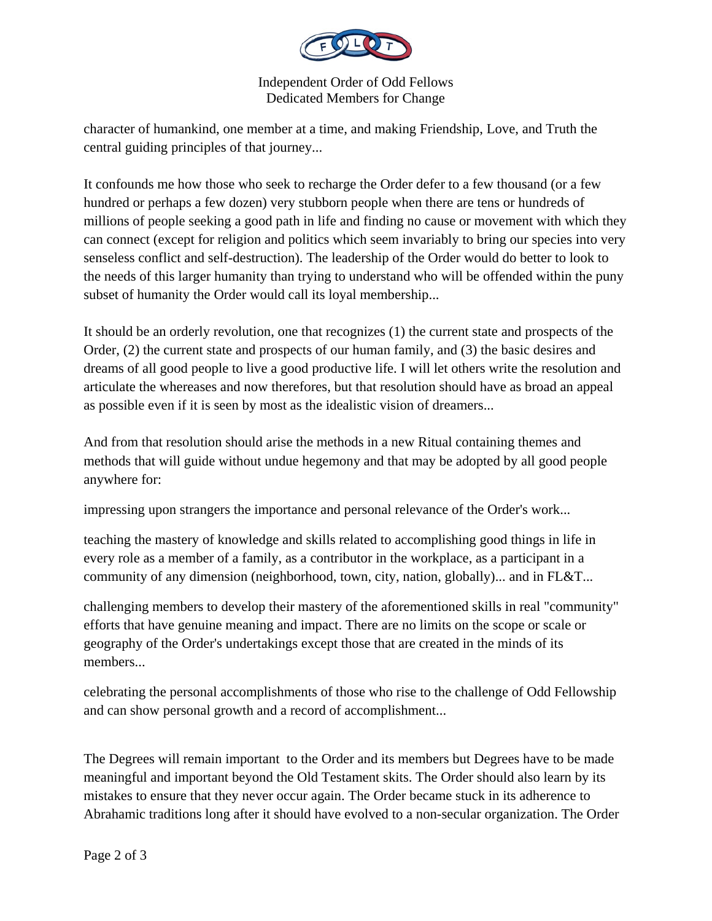

Independent Order of Odd Fellows Dedicated Members for Change

character of humankind, one member at a time, and making Friendship, Love, and Truth the central guiding principles of that journey...

It confounds me how those who seek to recharge the Order defer to a few thousand (or a few hundred or perhaps a few dozen) very stubborn people when there are tens or hundreds of millions of people seeking a good path in life and finding no cause or movement with which they can connect (except for religion and politics which seem invariably to bring our species into very senseless conflict and self-destruction). The leadership of the Order would do better to look to the needs of this larger humanity than trying to understand who will be offended within the puny subset of humanity the Order would call its loyal membership...

It should be an orderly revolution, one that recognizes (1) the current state and prospects of the Order, (2) the current state and prospects of our human family, and (3) the basic desires and dreams of all good people to live a good productive life. I will let others write the resolution and articulate the whereases and now therefores, but that resolution should have as broad an appeal as possible even if it is seen by most as the idealistic vision of dreamers...

And from that resolution should arise the methods in a new Ritual containing themes and methods that will guide without undue hegemony and that may be adopted by all good people anywhere for:

impressing upon strangers the importance and personal relevance of the Order's work...

teaching the mastery of knowledge and skills related to accomplishing good things in life in every role as a member of a family, as a contributor in the workplace, as a participant in a community of any dimension (neighborhood, town, city, nation, globally)... and in FL&T...

challenging members to develop their mastery of the aforementioned skills in real "community" efforts that have genuine meaning and impact. There are no limits on the scope or scale or geography of the Order's undertakings except those that are created in the minds of its members...

celebrating the personal accomplishments of those who rise to the challenge of Odd Fellowship and can show personal growth and a record of accomplishment...

The Degrees will remain important to the Order and its members but Degrees have to be made meaningful and important beyond the Old Testament skits. The Order should also learn by its mistakes to ensure that they never occur again. The Order became stuck in its adherence to Abrahamic traditions long after it should have evolved to a non-secular organization. The Order